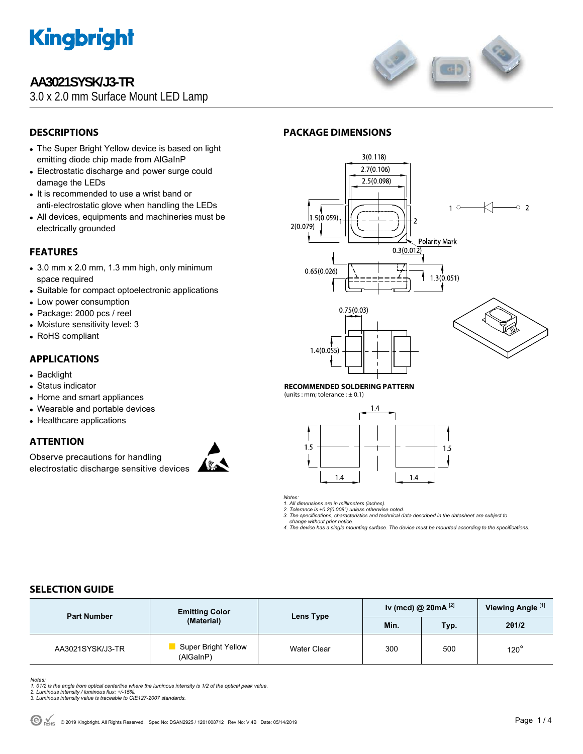

# **AA3021SYSK/J3-TR**

3.0 x 2.0 mm Surface Mount LED Lamp



## **DESCRIPTIONS**

- The Super Bright Yellow device is based on light emitting diode chip made from AlGaInP
- Electrostatic discharge and power surge could damage the LEDs
- It is recommended to use a wrist band or anti-electrostatic glove when handling the LEDs
- All devices, equipments and machineries must be electrically grounded

### **FEATURES**

- $\bullet$  3.0 mm x 2.0 mm, 1.3 mm high, only minimum space required
- Suitable for compact optoelectronic applications
- Low power consumption
- Package: 2000 pcs / reel
- Moisture sensitivity level: 3
- RoHS compliant

### **APPLICATIONS**

- Backlight
- Status indicator
- Home and smart appliances
- Wearable and portable devices
- Healthcare applications

### **ATTENTION**

Observe precautions for handling electrostatic discharge sensitive devices



### **PACKAGE DIMENSIONS**



#### **RECOMMENDED SOLDERING PATTERN**

(units : mm; tolerance :  $\pm$  0.1)



*Notes:* 

*1. All dimensions are in millimeters (inches). 2. Tolerance is ±0.2(0.008") unless otherwise noted.* 

*3. The specifications, characteristics and technical data described in the datasheet are subject to* 

 *change without prior notice.* 

*4. The device has a single mounting surface. The device must be mounted according to the specifications.* 

### **SELECTION GUIDE**

| <b>Part Number</b> | <b>Emitting Color</b>                   | Lens Type   | Iv (mcd) @ 20mA $^{[2]}$ |     | Viewing Angle <sup>[1]</sup> |
|--------------------|-----------------------------------------|-------------|--------------------------|-----|------------------------------|
|                    | (Material)                              |             | Min.<br>Typ.             |     | 201/2                        |
| AA3021SYSK/J3-TR   | <b>Super Bright Yellow</b><br>(AlGaInP) | Water Clear | 300                      | 500 | $120^\circ$                  |

*Notes:* 

*1. θ1/2 is the angle from optical centerline where the luminous intensity is 1/2 of the optical peak value. 2. Luminous intensity / luminous flux: +/-15%.* 

*3. Luminous intensity value is traceable to CIE127-2007 standards.*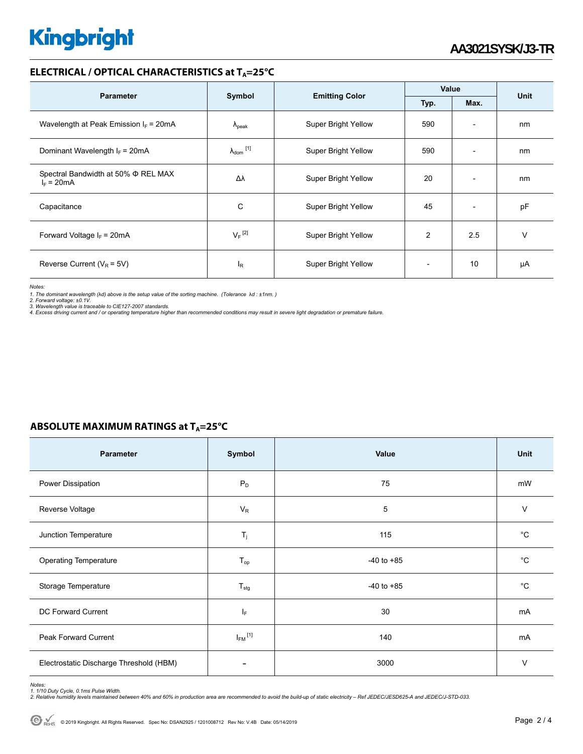# **Kingbright**

#### **ELECTRICAL / OPTICAL CHARACTERISTICS at T<sub>A</sub>=25°C**

| <b>Parameter</b>                                    |                      |                                       | Value          |                          |    |
|-----------------------------------------------------|----------------------|---------------------------------------|----------------|--------------------------|----|
|                                                     | Symbol               | <b>Emitting Color</b><br>Typ.<br>Max. |                | Unit                     |    |
| Wavelength at Peak Emission $I_F$ = 20mA            | $\Lambda_{\rm peak}$ | <b>Super Bright Yellow</b>            | 590            | $\overline{\phantom{a}}$ | nm |
| Dominant Wavelength $I_F = 20 \text{mA}$            | $\lambda_{dom}$ [1]  | <b>Super Bright Yellow</b>            | 590            | $\overline{\phantom{a}}$ | nm |
| Spectral Bandwidth at 50% Φ REL MAX<br>$I_F = 20mA$ | Δλ                   | <b>Super Bright Yellow</b>            | 20             | $\overline{\phantom{a}}$ | nm |
| Capacitance                                         | С                    | <b>Super Bright Yellow</b>            | 45             | $\overline{\phantom{a}}$ | pF |
| Forward Voltage $I_F$ = 20mA                        | $V_F$ <sup>[2]</sup> | <b>Super Bright Yellow</b>            | $\overline{2}$ | 2.5                      | v  |
| Reverse Current ( $V_R$ = 5V)                       | ΙR                   | <b>Super Bright Yellow</b>            |                | 10                       | μA |

*Notes:* 

1. The dominant wavelength (λd) above is the setup value of the sorting machine. (Tolerance λd : ±1nm. )<br>2. Forward voltage: ±0.1V.<br>3. Wavelength value is traceable to CIE127-2007 standards.<br>4. Excess driving current and /

|  | ABSOLUTE MAXIMUM RATINGS at $T_A = 25^{\circ}C$ |  |  |
|--|-------------------------------------------------|--|--|
|--|-------------------------------------------------|--|--|

| Parameter                               | Symbol                    | Value          | Unit         |
|-----------------------------------------|---------------------------|----------------|--------------|
| Power Dissipation                       | $P_D$                     | 75             | mW           |
| Reverse Voltage                         | $V_R$                     | 5              | V            |
| Junction Temperature                    | $T_j$                     | 115            | $^{\circ}C$  |
| <b>Operating Temperature</b>            | $T_{op}$                  | $-40$ to $+85$ | $^{\circ}$ C |
| Storage Temperature                     | $\mathsf{T}_{\text{stg}}$ | $-40$ to $+85$ | °С           |
| DC Forward Current                      | ΙF                        | 30             | mA           |
| Peak Forward Current                    | $I_{FM}$ <sup>[1]</sup>   | 140            | mA           |
| Electrostatic Discharge Threshold (HBM) |                           | 3000           | $\vee$       |

Notes:<br>1. 1/10 Duty Cycle, 0.1ms Pulse Width.<br>2. Relative humidity levels maintained between 40% and 60% in production area are recommended to avoid the build-up of static electricity – Ref JEDEC/JESD625-A and JEDEC/J-STD-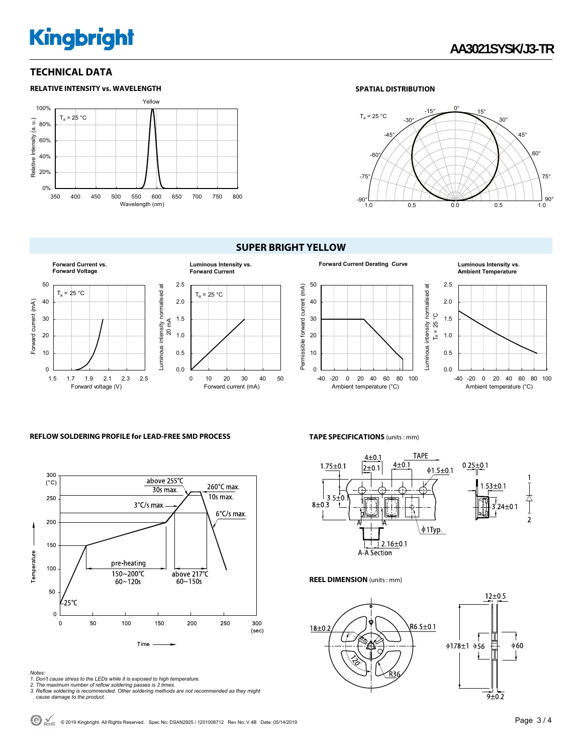# **Kingbright**

### **TECHNICAL DATA**



#### **SPATIAL DISTRIBUTION**



#### **SUPER BRIGHT YELLOW**





# **Ambient Temperature**



#### **REFLOW SOLDERING PROFILE for LEAD-FREE SMD PROCESS**



#### **TAPE SPECIFICATIONS** (units : mm)



#### **REEL DIMENSION** (units : mm)



- 
- 
- Notes:<br>1. Don't cause stress to the LEDs while it is exposed to high temperature.<br>2. The maximum number of reflow soldering passes is 2 times.<br>3. Reflow soldering is recommended. Other soldering methods are not recommended